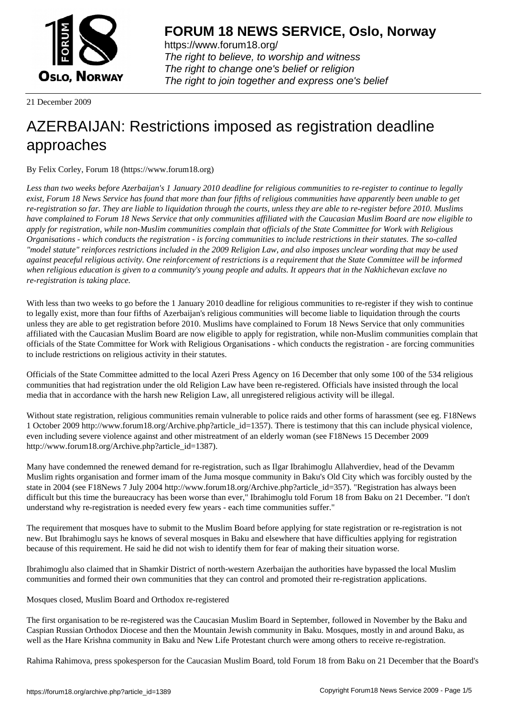

https://www.forum18.org/ The right to believe, to worship and witness The right to change one's belief or religion [The right to join together a](https://www.forum18.org/)nd express one's belief

21 December 2009

# [AZERBAIJAN: R](https://www.forum18.org)estrictions imposed as registration deadline approaches

By Felix Corley, Forum 18 (https://www.forum18.org)

*Less than two weeks before Azerbaijan's 1 January 2010 deadline for religious communities to re-register to continue to legally exist, Forum 18 News Service has found that more than four fifths of religious communities have apparently been unable to get re-registration so far. They are liable to liquidation through the courts, unless they are able to re-register before 2010. Muslims have complained to Forum 18 News Service that only communities affiliated with the Caucasian Muslim Board are now eligible to apply for registration, while non-Muslim communities complain that officials of the State Committee for Work with Religious Organisations - which conducts the registration - is forcing communities to include restrictions in their statutes. The so-called "model statute" reinforces restrictions included in the 2009 Religion Law, and also imposes unclear wording that may be used against peaceful religious activity. One reinforcement of restrictions is a requirement that the State Committee will be informed when religious education is given to a community's young people and adults. It appears that in the Nakhichevan exclave no re-registration is taking place.*

With less than two weeks to go before the 1 January 2010 deadline for religious communities to re-register if they wish to continue to legally exist, more than four fifths of Azerbaijan's religious communities will become liable to liquidation through the courts unless they are able to get registration before 2010. Muslims have complained to Forum 18 News Service that only communities affiliated with the Caucasian Muslim Board are now eligible to apply for registration, while non-Muslim communities complain that officials of the State Committee for Work with Religious Organisations - which conducts the registration - are forcing communities to include restrictions on religious activity in their statutes.

Officials of the State Committee admitted to the local Azeri Press Agency on 16 December that only some 100 of the 534 religious communities that had registration under the old Religion Law have been re-registered. Officials have insisted through the local media that in accordance with the harsh new Religion Law, all unregistered religious activity will be illegal.

Without state registration, religious communities remain vulnerable to police raids and other forms of harassment (see eg. F18News 1 October 2009 http://www.forum18.org/Archive.php?article\_id=1357). There is testimony that this can include physical violence, even including severe violence against and other mistreatment of an elderly woman (see F18News 15 December 2009 http://www.forum18.org/Archive.php?article\_id=1387).

Many have condemned the renewed demand for re-registration, such as Ilgar Ibrahimoglu Allahverdiev, head of the Devamm Muslim rights organisation and former imam of the Juma mosque community in Baku's Old City which was forcibly ousted by the state in 2004 (see F18News 7 July 2004 http://www.forum18.org/Archive.php?article\_id=357). "Registration has always been difficult but this time the bureaucracy has been worse than ever," Ibrahimoglu told Forum 18 from Baku on 21 December. "I don't understand why re-registration is needed every few years - each time communities suffer."

The requirement that mosques have to submit to the Muslim Board before applying for state registration or re-registration is not new. But Ibrahimoglu says he knows of several mosques in Baku and elsewhere that have difficulties applying for registration because of this requirement. He said he did not wish to identify them for fear of making their situation worse.

Ibrahimoglu also claimed that in Shamkir District of north-western Azerbaijan the authorities have bypassed the local Muslim communities and formed their own communities that they can control and promoted their re-registration applications.

Mosques closed, Muslim Board and Orthodox re-registered

The first organisation to be re-registered was the Caucasian Muslim Board in September, followed in November by the Baku and Caspian Russian Orthodox Diocese and then the Mountain Jewish community in Baku. Mosques, mostly in and around Baku, as well as the Hare Krishna community in Baku and New Life Protestant church were among others to receive re-registration.

Rahima Rahimova, press spokesperson for the Caucasian Muslim Board, told Forum 18 from Baku on 21 December that the Board's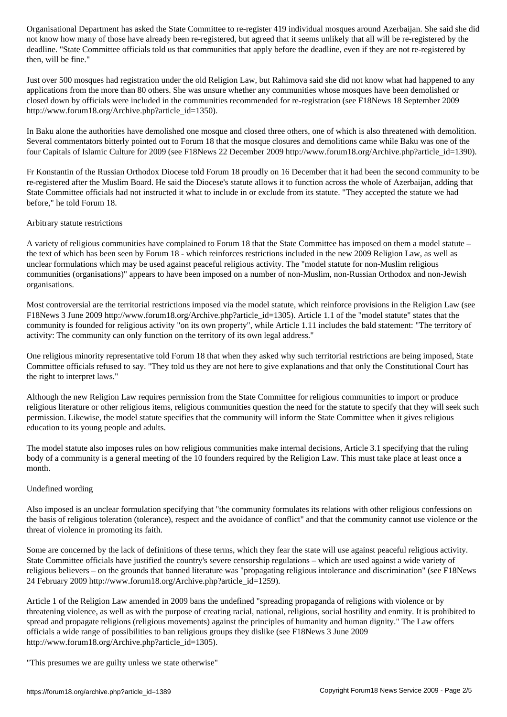not know how many of those have already been registered, but all will be registered that it seems unlikely tha deadline. "State Committee officials told us that communities that apply before the deadline, even if they are not re-registered by then, will be fine."

Just over 500 mosques had registration under the old Religion Law, but Rahimova said she did not know what had happened to any applications from the more than 80 others. She was unsure whether any communities whose mosques have been demolished or closed down by officials were included in the communities recommended for re-registration (see F18News 18 September 2009 http://www.forum18.org/Archive.php?article\_id=1350).

In Baku alone the authorities have demolished one mosque and closed three others, one of which is also threatened with demolition. Several commentators bitterly pointed out to Forum 18 that the mosque closures and demolitions came while Baku was one of the four Capitals of Islamic Culture for 2009 (see F18News 22 December 2009 http://www.forum18.org/Archive.php?article\_id=1390).

Fr Konstantin of the Russian Orthodox Diocese told Forum 18 proudly on 16 December that it had been the second community to be re-registered after the Muslim Board. He said the Diocese's statute allows it to function across the whole of Azerbaijan, adding that State Committee officials had not instructed it what to include in or exclude from its statute. "They accepted the statute we had before," he told Forum 18.

# Arbitrary statute restrictions

A variety of religious communities have complained to Forum 18 that the State Committee has imposed on them a model statute – the text of which has been seen by Forum 18 - which reinforces restrictions included in the new 2009 Religion Law, as well as unclear formulations which may be used against peaceful religious activity. The "model statute for non-Muslim religious communities (organisations)" appears to have been imposed on a number of non-Muslim, non-Russian Orthodox and non-Jewish organisations.

Most controversial are the territorial restrictions imposed via the model statute, which reinforce provisions in the Religion Law (see F18News 3 June 2009 http://www.forum18.org/Archive.php?article\_id=1305). Article 1.1 of the "model statute" states that the community is founded for religious activity "on its own property", while Article 1.11 includes the bald statement: "The territory of activity: The community can only function on the territory of its own legal address."

One religious minority representative told Forum 18 that when they asked why such territorial restrictions are being imposed, State Committee officials refused to say. "They told us they are not here to give explanations and that only the Constitutional Court has the right to interpret laws."

Although the new Religion Law requires permission from the State Committee for religious communities to import or produce religious literature or other religious items, religious communities question the need for the statute to specify that they will seek such permission. Likewise, the model statute specifies that the community will inform the State Committee when it gives religious education to its young people and adults.

The model statute also imposes rules on how religious communities make internal decisions, Article 3.1 specifying that the ruling body of a community is a general meeting of the 10 founders required by the Religion Law. This must take place at least once a month.

# Undefined wording

Also imposed is an unclear formulation specifying that "the community formulates its relations with other religious confessions on the basis of religious toleration (tolerance), respect and the avoidance of conflict" and that the community cannot use violence or the threat of violence in promoting its faith.

Some are concerned by the lack of definitions of these terms, which they fear the state will use against peaceful religious activity. State Committee officials have justified the country's severe censorship regulations – which are used against a wide variety of religious believers – on the grounds that banned literature was "propagating religious intolerance and discrimination" (see F18News 24 February 2009 http://www.forum18.org/Archive.php?article\_id=1259).

Article 1 of the Religion Law amended in 2009 bans the undefined "spreading propaganda of religions with violence or by threatening violence, as well as with the purpose of creating racial, national, religious, social hostility and enmity. It is prohibited to spread and propagate religions (religious movements) against the principles of humanity and human dignity." The Law offers officials a wide range of possibilities to ban religious groups they dislike (see F18News 3 June 2009 http://www.forum18.org/Archive.php?article\_id=1305).

"This presumes we are guilty unless we state otherwise"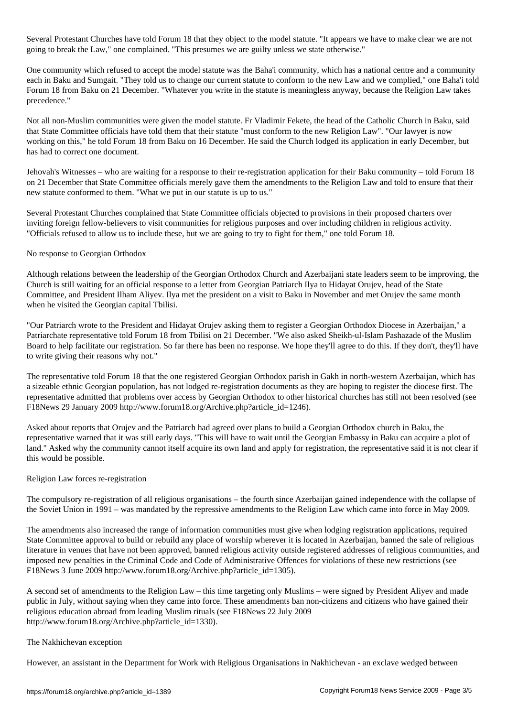Several Protestant Churches have told Forum 18 that they object to the model statute. "It appears we have to make clear we are not going to break the Law," one complained. "This presumes we are guilty unless we state otherwise."

One community which refused to accept the model statute was the Baha'i community, which has a national centre and a community each in Baku and Sumgait. "They told us to change our current statute to conform to the new Law and we complied," one Baha'i told Forum 18 from Baku on 21 December. "Whatever you write in the statute is meaningless anyway, because the Religion Law takes precedence."

Not all non-Muslim communities were given the model statute. Fr Vladimir Fekete, the head of the Catholic Church in Baku, said that State Committee officials have told them that their statute "must conform to the new Religion Law". "Our lawyer is now working on this," he told Forum 18 from Baku on 16 December. He said the Church lodged its application in early December, but has had to correct one document.

Jehovah's Witnesses – who are waiting for a response to their re-registration application for their Baku community – told Forum 18 on 21 December that State Committee officials merely gave them the amendments to the Religion Law and told to ensure that their new statute conformed to them. "What we put in our statute is up to us."

Several Protestant Churches complained that State Committee officials objected to provisions in their proposed charters over inviting foreign fellow-believers to visit communities for religious purposes and over including children in religious activity. "Officials refused to allow us to include these, but we are going to try to fight for them," one told Forum 18.

# No response to Georgian Orthodox

Although relations between the leadership of the Georgian Orthodox Church and Azerbaijani state leaders seem to be improving, the Church is still waiting for an official response to a letter from Georgian Patriarch Ilya to Hidayat Orujev, head of the State Committee, and President Ilham Aliyev. Ilya met the president on a visit to Baku in November and met Orujev the same month when he visited the Georgian capital Tbilisi.

"Our Patriarch wrote to the President and Hidayat Orujev asking them to register a Georgian Orthodox Diocese in Azerbaijan," a Patriarchate representative told Forum 18 from Tbilisi on 21 December. "We also asked Sheikh-ul-Islam Pashazade of the Muslim Board to help facilitate our registration. So far there has been no response. We hope they'll agree to do this. If they don't, they'll have to write giving their reasons why not."

The representative told Forum 18 that the one registered Georgian Orthodox parish in Gakh in north-western Azerbaijan, which has a sizeable ethnic Georgian population, has not lodged re-registration documents as they are hoping to register the diocese first. The representative admitted that problems over access by Georgian Orthodox to other historical churches has still not been resolved (see F18News 29 January 2009 http://www.forum18.org/Archive.php?article\_id=1246).

Asked about reports that Orujev and the Patriarch had agreed over plans to build a Georgian Orthodox church in Baku, the representative warned that it was still early days. "This will have to wait until the Georgian Embassy in Baku can acquire a plot of land." Asked why the community cannot itself acquire its own land and apply for registration, the representative said it is not clear if this would be possible.

# Religion Law forces re-registration

The compulsory re-registration of all religious organisations – the fourth since Azerbaijan gained independence with the collapse of the Soviet Union in 1991 – was mandated by the repressive amendments to the Religion Law which came into force in May 2009.

The amendments also increased the range of information communities must give when lodging registration applications, required State Committee approval to build or rebuild any place of worship wherever it is located in Azerbaijan, banned the sale of religious literature in venues that have not been approved, banned religious activity outside registered addresses of religious communities, and imposed new penalties in the Criminal Code and Code of Administrative Offences for violations of these new restrictions (see F18News 3 June 2009 http://www.forum18.org/Archive.php?article\_id=1305).

A second set of amendments to the Religion Law – this time targeting only Muslims – were signed by President Aliyev and made public in July, without saying when they came into force. These amendments ban non-citizens and citizens who have gained their religious education abroad from leading Muslim rituals (see F18News 22 July 2009 http://www.forum18.org/Archive.php?article\_id=1330).

# The Nakhichevan exception

However, an assistant in the Department for Work with Religious Organisations in Nakhichevan - an exclave wedged between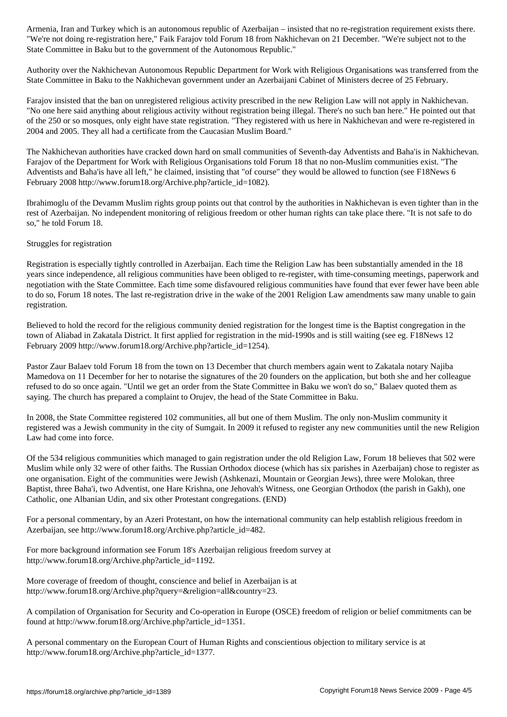"We're not doing re-registration here," Faik Farajov told Forum 18 from Nakhichevan on 21 December. "We're subject not to the State Committee in Baku but to the government of the Autonomous Republic."

Authority over the Nakhichevan Autonomous Republic Department for Work with Religious Organisations was transferred from the State Committee in Baku to the Nakhichevan government under an Azerbaijani Cabinet of Ministers decree of 25 February.

Farajov insisted that the ban on unregistered religious activity prescribed in the new Religion Law will not apply in Nakhichevan. "No one here said anything about religious activity without registration being illegal. There's no such ban here." He pointed out that of the 250 or so mosques, only eight have state registration. "They registered with us here in Nakhichevan and were re-registered in 2004 and 2005. They all had a certificate from the Caucasian Muslim Board."

The Nakhichevan authorities have cracked down hard on small communities of Seventh-day Adventists and Baha'is in Nakhichevan. Farajov of the Department for Work with Religious Organisations told Forum 18 that no non-Muslim communities exist. "The Adventists and Baha'is have all left," he claimed, insisting that "of course" they would be allowed to function (see F18News 6 February 2008 http://www.forum18.org/Archive.php?article\_id=1082).

Ibrahimoglu of the Devamm Muslim rights group points out that control by the authorities in Nakhichevan is even tighter than in the rest of Azerbaijan. No independent monitoring of religious freedom or other human rights can take place there. "It is not safe to do so," he told Forum 18.

# Struggles for registration

Registration is especially tightly controlled in Azerbaijan. Each time the Religion Law has been substantially amended in the 18 years since independence, all religious communities have been obliged to re-register, with time-consuming meetings, paperwork and negotiation with the State Committee. Each time some disfavoured religious communities have found that ever fewer have been able to do so, Forum 18 notes. The last re-registration drive in the wake of the 2001 Religion Law amendments saw many unable to gain registration.

Believed to hold the record for the religious community denied registration for the longest time is the Baptist congregation in the town of Aliabad in Zakatala District. It first applied for registration in the mid-1990s and is still waiting (see eg. F18News 12 February 2009 http://www.forum18.org/Archive.php?article\_id=1254).

Pastor Zaur Balaev told Forum 18 from the town on 13 December that church members again went to Zakatala notary Najiba Mamedova on 11 December for her to notarise the signatures of the 20 founders on the application, but both she and her colleague refused to do so once again. "Until we get an order from the State Committee in Baku we won't do so," Balaev quoted them as saying. The church has prepared a complaint to Orujev, the head of the State Committee in Baku.

In 2008, the State Committee registered 102 communities, all but one of them Muslim. The only non-Muslim community it registered was a Jewish community in the city of Sumgait. In 2009 it refused to register any new communities until the new Religion Law had come into force.

Of the 534 religious communities which managed to gain registration under the old Religion Law, Forum 18 believes that 502 were Muslim while only 32 were of other faiths. The Russian Orthodox diocese (which has six parishes in Azerbaijan) chose to register as one organisation. Eight of the communities were Jewish (Ashkenazi, Mountain or Georgian Jews), three were Molokan, three Baptist, three Baha'i, two Adventist, one Hare Krishna, one Jehovah's Witness, one Georgian Orthodox (the parish in Gakh), one Catholic, one Albanian Udin, and six other Protestant congregations. (END)

For a personal commentary, by an Azeri Protestant, on how the international community can help establish religious freedom in Azerbaijan, see http://www.forum18.org/Archive.php?article\_id=482.

For more background information see Forum 18's Azerbaijan religious freedom survey at http://www.forum18.org/Archive.php?article\_id=1192.

More coverage of freedom of thought, conscience and belief in Azerbaijan is at http://www.forum18.org/Archive.php?query=&religion=all&country=23.

A compilation of Organisation for Security and Co-operation in Europe (OSCE) freedom of religion or belief commitments can be found at http://www.forum18.org/Archive.php?article\_id=1351.

A personal commentary on the European Court of Human Rights and conscientious objection to military service is at http://www.forum18.org/Archive.php?article\_id=1377.